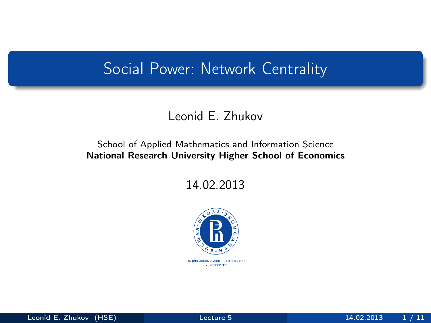## Social Power: Network Centrality

## Leonid E. Zhukov

#### School of Applied Mathematics and Information Science National Research University Higher School of Economics

14.02.2013

<span id="page-0-0"></span>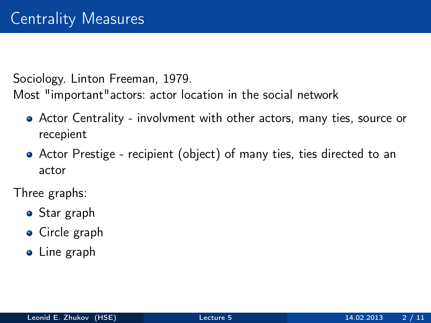Sociology. Linton Freeman, 1979.

Most "important"actors: actor location in the social network

- Actor Centrality involvment with other actors, many ties, source or recepient
- Actor Prestige recipient (object) of many ties, ties directed to an actor

Three graphs:

- Star graph
- **•** Circle graph
- Line graph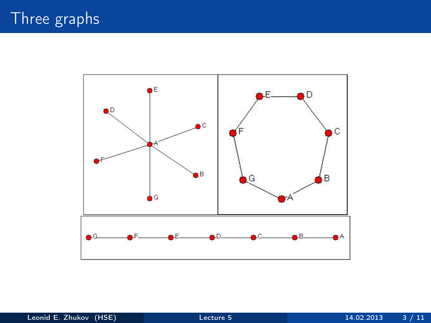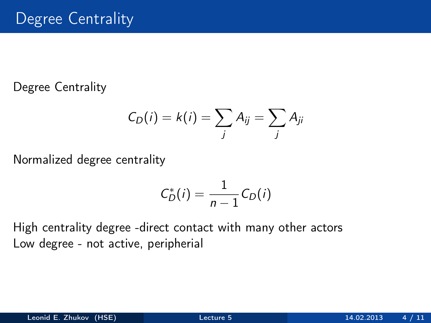Degree Centrality

$$
C_D(i) = k(i) = \sum_j A_{ij} = \sum_j A_{ji}
$$

Normalized degree centrality

$$
C_D^*(i) = \frac{1}{n-1}C_D(i)
$$

High centrality degree -direct contact with many other actors Low degree - not active, peripherial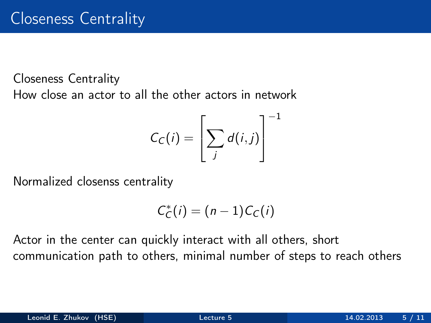Closeness Centrality How close an actor to all the other actors in network

$$
C_C(i) = \left[\sum_j d(i,j)\right]^{-1}
$$

Normalized closenss centrality

$$
C_C^*(i)=(n-1)C_C(i)
$$

Actor in the center can quickly interact with all others, short communication path to others, minimal number of steps to reach others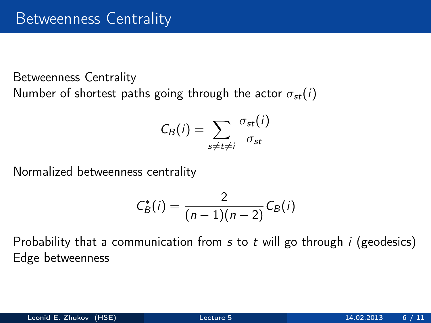Betweenness Centrality Number of shortest paths going through the actor  $\sigma_{st}(i)$ 

$$
C_B(i) = \sum_{s \neq t \neq i} \frac{\sigma_{st}(i)}{\sigma_{st}}
$$

Normalized betweenness centrality

$$
C_B^*(i) = \frac{2}{(n-1)(n-2)} C_B(i)
$$

Probability that a communication from  $s$  to  $t$  will go through  $i$  (geodesics) Edge betweenness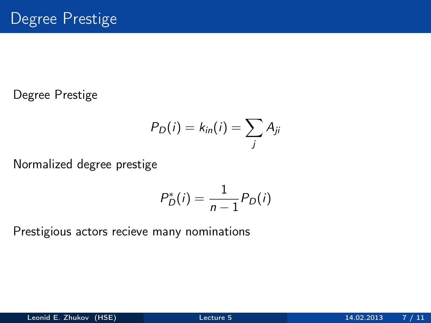Degree Prestige

$$
P_D(i) = k_{in}(i) = \sum_j A_{ji}
$$

Normalized degree prestige

$$
P_D^*(i) = \frac{1}{n-1} P_D(i)
$$

Prestigious actors recieve many nominations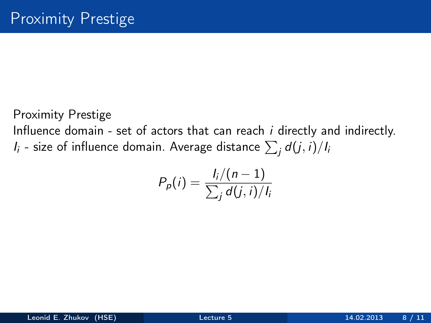Proximity Prestige

Influence domain - set of actors that can reach i directly and indirectly.  $I_i$  - size of influence domain. Average distance  $\sum_j d(j,i)/I_i$ 

$$
P_p(i) = \frac{I_i/(n-1)}{\sum_j d(j,i)/I_i}
$$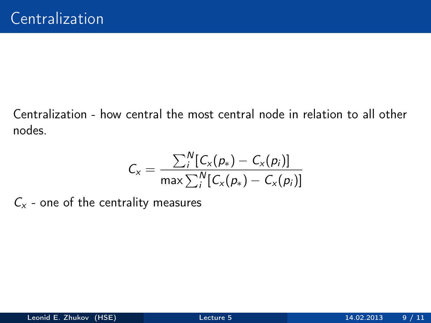Centralization - how central the most central node in relation to all other nodes.

$$
C_x = \frac{\sum_{i}^{N} [C_x(p_*) - C_x(p_i)]}{\max \sum_{i}^{N} [C_x(p_*) - C_x(p_i)]}
$$

 $C_x$  - one of the centrality measures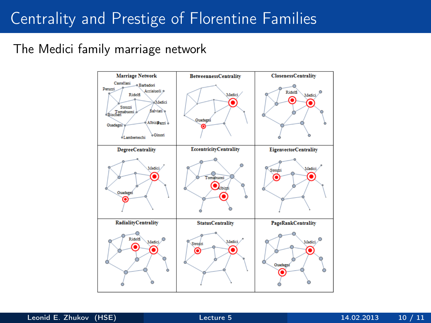# Centrality and Prestige of Florentine Families

### The Medici family marriage network